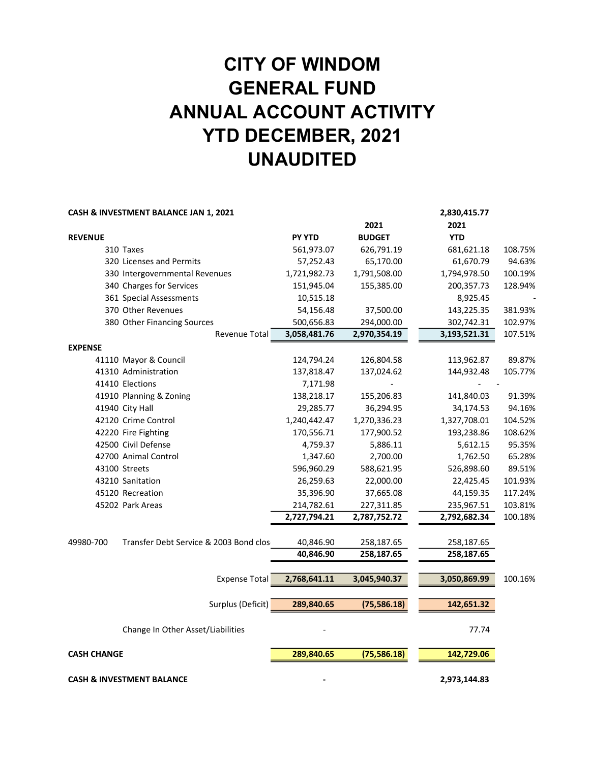# CITY OF WINDOM GENERAL FUND ANNUAL ACCOUNT ACTIVITY YTD DECEMBER, 2021 UNAUDITED

|                    | CASH & INVESTMENT BALANCE JAN 1, 2021  |               |               | 2,830,415.77 |         |
|--------------------|----------------------------------------|---------------|---------------|--------------|---------|
|                    |                                        |               | 2021          | 2021         |         |
| <b>REVENUE</b>     |                                        | <b>PY YTD</b> | <b>BUDGET</b> | <b>YTD</b>   |         |
|                    | 310 Taxes                              | 561,973.07    | 626,791.19    | 681,621.18   | 108.75% |
|                    | 320 Licenses and Permits               | 57,252.43     | 65,170.00     | 61,670.79    | 94.63%  |
|                    | 330 Intergovernmental Revenues         | 1,721,982.73  | 1,791,508.00  | 1,794,978.50 | 100.19% |
|                    | 340 Charges for Services               | 151,945.04    | 155,385.00    | 200,357.73   | 128.94% |
|                    | 361 Special Assessments                | 10,515.18     |               | 8,925.45     |         |
|                    | 370 Other Revenues                     | 54,156.48     | 37,500.00     | 143,225.35   | 381.93% |
|                    | 380 Other Financing Sources            | 500,656.83    | 294,000.00    | 302,742.31   | 102.97% |
|                    | Revenue Total                          | 3,058,481.76  | 2,970,354.19  | 3,193,521.31 | 107.51% |
| <b>EXPENSE</b>     |                                        |               |               |              |         |
|                    | 41110 Mayor & Council                  | 124,794.24    | 126,804.58    | 113,962.87   | 89.87%  |
|                    | 41310 Administration                   | 137,818.47    | 137,024.62    | 144,932.48   | 105.77% |
|                    | 41410 Elections                        | 7,171.98      |               |              |         |
|                    | 41910 Planning & Zoning                | 138,218.17    | 155,206.83    | 141,840.03   | 91.39%  |
|                    | 41940 City Hall                        | 29,285.77     | 36,294.95     | 34,174.53    | 94.16%  |
|                    | 42120 Crime Control                    | 1,240,442.47  | 1,270,336.23  | 1,327,708.01 | 104.52% |
|                    | 42220 Fire Fighting                    | 170,556.71    | 177,900.52    | 193,238.86   | 108.62% |
|                    | 42500 Civil Defense                    | 4,759.37      | 5,886.11      | 5,612.15     | 95.35%  |
|                    | 42700 Animal Control                   | 1,347.60      | 2,700.00      | 1,762.50     | 65.28%  |
|                    | 43100 Streets                          | 596,960.29    | 588,621.95    | 526,898.60   | 89.51%  |
|                    | 43210 Sanitation                       | 26,259.63     | 22,000.00     | 22,425.45    | 101.93% |
|                    | 45120 Recreation                       | 35,396.90     | 37,665.08     | 44,159.35    | 117.24% |
|                    | 45202 Park Areas                       | 214,782.61    | 227,311.85    | 235,967.51   | 103.81% |
|                    |                                        | 2,727,794.21  | 2,787,752.72  | 2,792,682.34 | 100.18% |
| 49980-700          | Transfer Debt Service & 2003 Bond clos | 40,846.90     | 258,187.65    | 258,187.65   |         |
|                    |                                        | 40,846.90     | 258,187.65    | 258,187.65   |         |
|                    |                                        |               |               |              |         |
|                    | <b>Expense Total</b>                   | 2,768,641.11  | 3,045,940.37  | 3,050,869.99 | 100.16% |
|                    | Surplus (Deficit)                      | 289,840.65    | (75, 586.18)  | 142,651.32   |         |
|                    |                                        |               |               |              |         |
|                    | Change In Other Asset/Liabilities      |               |               | 77.74        |         |
| <b>CASH CHANGE</b> |                                        | 289,840.65    | (75, 586.18)  | 142,729.06   |         |
|                    | <b>CASH &amp; INVESTMENT BALANCE</b>   |               |               | 2,973,144.83 |         |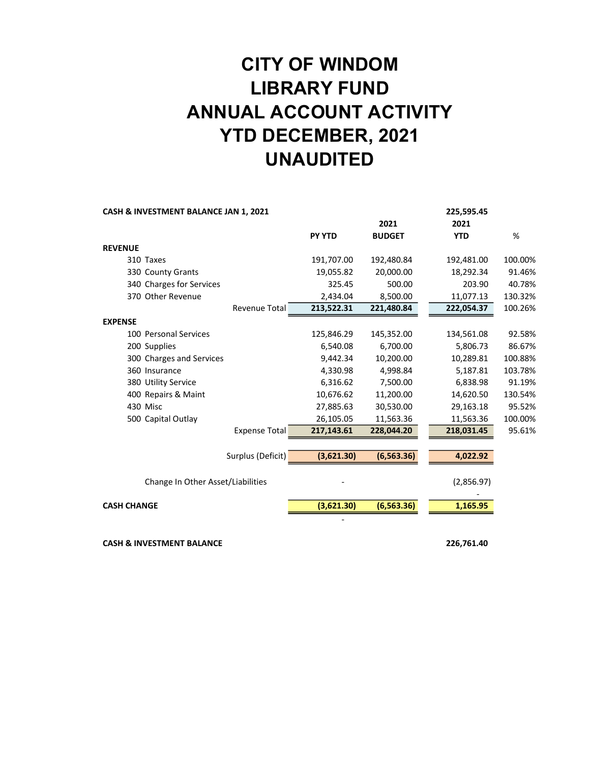# CITY OF WINDOM LIBRARY FUND ANNUAL ACCOUNT ACTIVITY YTD DECEMBER, 2021 UNAUDITED

| CASH & INVESTMENT BALANCE JAN 1, 2021 |               |               | 225,595.45 |         |
|---------------------------------------|---------------|---------------|------------|---------|
|                                       |               | 2021          | 2021       |         |
|                                       | <b>PY YTD</b> | <b>BUDGET</b> | <b>YTD</b> | %       |
| <b>REVENUE</b>                        |               |               |            |         |
| 310 Taxes                             | 191,707.00    | 192,480.84    | 192,481.00 | 100.00% |
| 330 County Grants                     | 19,055.82     | 20,000.00     | 18,292.34  | 91.46%  |
| 340 Charges for Services              | 325.45        | 500.00        | 203.90     | 40.78%  |
| 370 Other Revenue                     | 2,434.04      | 8,500.00      | 11,077.13  | 130.32% |
| <b>Revenue Total</b>                  | 213,522.31    | 221,480.84    | 222,054.37 | 100.26% |
| <b>EXPENSE</b>                        |               |               |            |         |
| 100 Personal Services                 | 125,846.29    | 145,352.00    | 134,561.08 | 92.58%  |
| 200 Supplies                          | 6,540.08      | 6,700.00      | 5,806.73   | 86.67%  |
| 300 Charges and Services              | 9,442.34      | 10,200.00     | 10,289.81  | 100.88% |
| 360 Insurance                         | 4,330.98      | 4,998.84      | 5,187.81   | 103.78% |
| 380 Utility Service                   | 6,316.62      | 7,500.00      | 6,838.98   | 91.19%  |
| 400 Repairs & Maint                   | 10,676.62     | 11,200.00     | 14,620.50  | 130.54% |
| 430 Misc                              | 27,885.63     | 30,530.00     | 29,163.18  | 95.52%  |
| 500 Capital Outlay                    | 26,105.05     | 11,563.36     | 11,563.36  | 100.00% |
| <b>Expense Total</b>                  | 217,143.61    | 228,044.20    | 218,031.45 | 95.61%  |
|                                       |               |               |            |         |
| Surplus (Deficit)                     | (3,621.30)    | (6, 563.36)   | 4,022.92   |         |
| Change In Other Asset/Liabilities     |               |               | (2,856.97) |         |
|                                       |               |               |            |         |
| <b>CASH CHANGE</b>                    | (3,621.30)    | (6, 563.36)   | 1,165.95   |         |
|                                       |               |               |            |         |

CASH & INVESTMENT BALANCE 226,761.40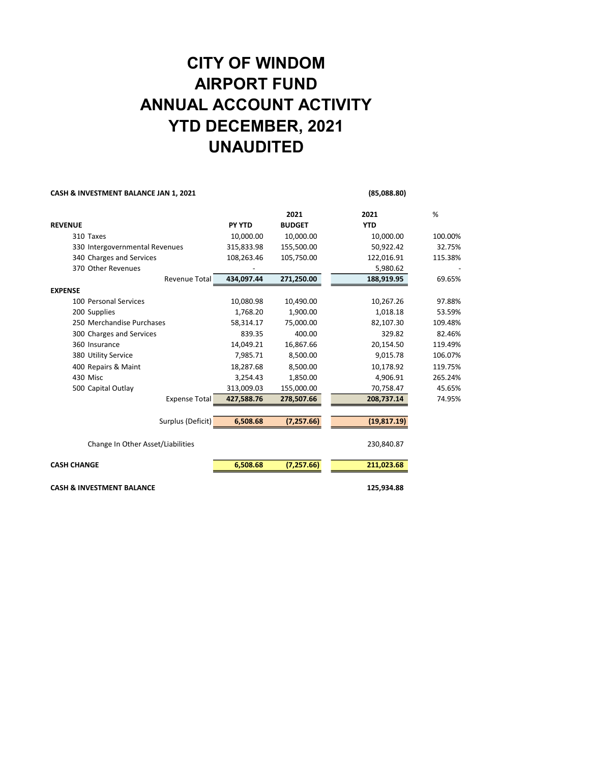### CITY OF WINDOM AIRPORT FUND ANNUAL ACCOUNT ACTIVITY YTD DECEMBER, 2021 UNAUDITED

#### CASH & INVESTMENT BALANCE JAN 1, 2021 (85,088.80)

|                                      |               | 2021          | 2021         | %       |
|--------------------------------------|---------------|---------------|--------------|---------|
| <b>REVENUE</b>                       | <b>PY YTD</b> | <b>BUDGET</b> | <b>YTD</b>   |         |
| 310 Taxes                            | 10,000.00     | 10,000.00     | 10,000.00    | 100.00% |
| 330 Intergovernmental Revenues       | 315,833.98    | 155,500.00    | 50,922.42    | 32.75%  |
| 340 Charges and Services             | 108,263.46    | 105,750.00    | 122,016.91   | 115.38% |
| 370 Other Revenues                   |               |               | 5,980.62     |         |
| Revenue Total                        | 434,097.44    | 271,250.00    | 188,919.95   | 69.65%  |
| <b>EXPENSE</b>                       |               |               |              |         |
| 100 Personal Services                | 10,080.98     | 10,490.00     | 10,267.26    | 97.88%  |
| 200 Supplies                         | 1.768.20      | 1.900.00      | 1,018.18     | 53.59%  |
| 250 Merchandise Purchases            | 58,314.17     | 75,000.00     | 82,107.30    | 109.48% |
| 300 Charges and Services             | 839.35        | 400.00        | 329.82       | 82.46%  |
| 360 Insurance                        | 14,049.21     | 16,867.66     | 20,154.50    | 119.49% |
| 380 Utility Service                  | 7,985.71      | 8,500.00      | 9,015.78     | 106.07% |
| 400 Repairs & Maint                  | 18,287.68     | 8,500.00      | 10,178.92    | 119.75% |
| 430 Misc                             | 3,254.43      | 1,850.00      | 4,906.91     | 265.24% |
| 500 Capital Outlay                   | 313,009.03    | 155,000.00    | 70,758.47    | 45.65%  |
| <b>Expense Total</b>                 | 427,588.76    | 278,507.66    | 208,737.14   | 74.95%  |
|                                      |               |               |              |         |
| Surplus (Deficit)                    | 6,508.68      | (7, 257.66)   | (19, 817.19) |         |
| Change In Other Asset/Liabilities    |               |               | 230,840.87   |         |
| <b>CASH CHANGE</b>                   | 6,508.68      | (7, 257.66)   | 211,023.68   |         |
| <b>CASH &amp; INVESTMENT BALANCE</b> |               |               | 125,934.88   |         |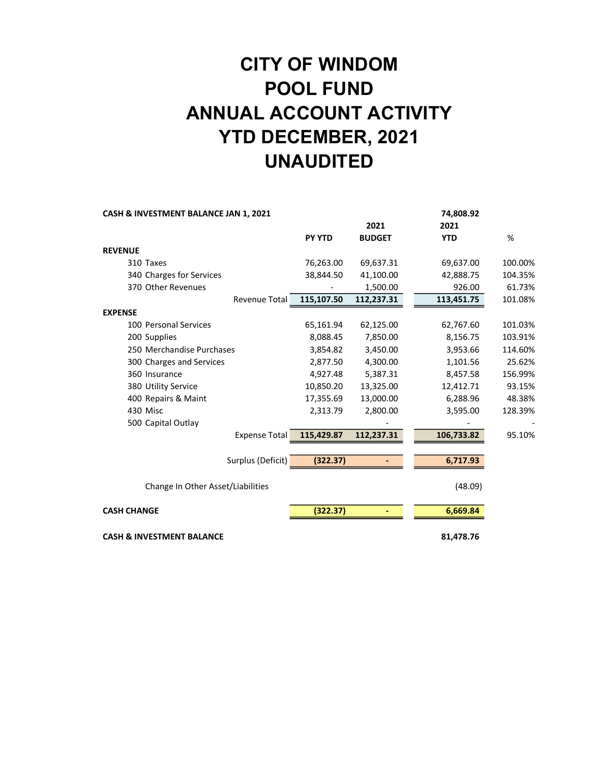# CITY OF WINDOM POOL FUND ANNUAL ACCOUNT ACTIVITY YTD DECEMBER, 2021 UNAUDITED

| CASH & INVESTMENT BALANCE JAN 1, 2021 |               |               | 74,808.92  |         |
|---------------------------------------|---------------|---------------|------------|---------|
|                                       |               | 2021          | 2021       |         |
|                                       | <b>PY YTD</b> | <b>BUDGET</b> | <b>YTD</b> | %       |
| <b>REVENUE</b>                        |               |               |            |         |
| 310 Taxes                             | 76,263.00     | 69,637.31     | 69,637.00  | 100.00% |
| 340 Charges for Services              | 38,844.50     | 41,100.00     | 42,888.75  | 104.35% |
| 370 Other Revenues                    |               | 1,500.00      | 926.00     | 61.73%  |
| Revenue Total                         | 115,107.50    | 112,237.31    | 113,451.75 | 101.08% |
| <b>EXPENSE</b>                        |               |               |            |         |
| 100 Personal Services                 | 65,161.94     | 62,125.00     | 62,767.60  | 101.03% |
| 200 Supplies                          | 8,088.45      | 7,850.00      | 8,156.75   | 103.91% |
| 250 Merchandise Purchases             | 3,854.82      | 3,450.00      | 3,953.66   | 114.60% |
| 300 Charges and Services              | 2,877.50      | 4,300.00      | 1,101.56   | 25.62%  |
| 360 Insurance                         | 4,927.48      | 5,387.31      | 8,457.58   | 156.99% |
| 380 Utility Service                   | 10,850.20     | 13,325.00     | 12,412.71  | 93.15%  |
| 400 Repairs & Maint                   | 17,355.69     | 13,000.00     | 6,288.96   | 48.38%  |
| 430 Misc                              | 2,313.79      | 2,800.00      | 3,595.00   | 128.39% |
| 500 Capital Outlay                    |               |               |            |         |
| <b>Expense Total</b>                  | 115,429.87    | 112,237.31    | 106,733.82 | 95.10%  |
| Surplus (Deficit)                     | (322.37)      |               | 6,717.93   |         |
|                                       |               |               |            |         |
| Change In Other Asset/Liabilities     |               |               | (48.09)    |         |
| <b>CASH CHANGE</b>                    | (322.37)      |               | 6,669.84   |         |
| <b>CASH &amp; INVESTMENT BALANCE</b>  |               |               | 81,478.76  |         |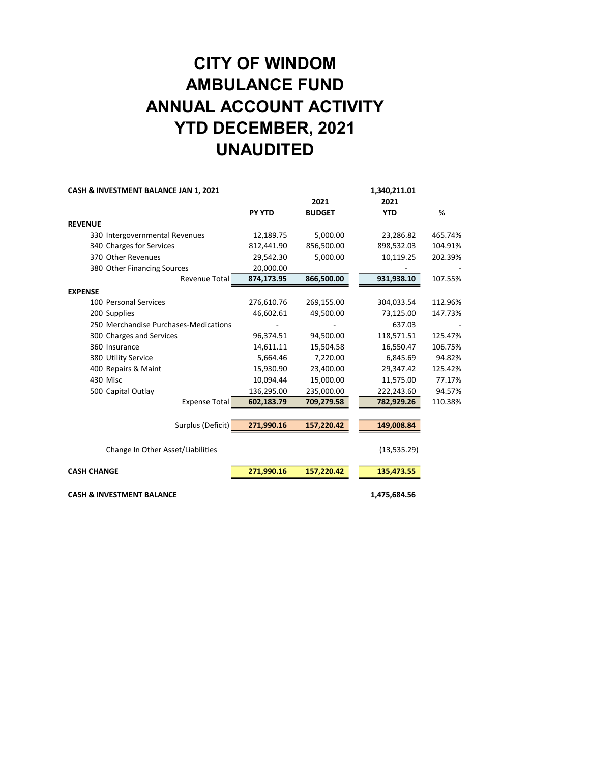## CITY OF WINDOM AMBULANCE FUND ANNUAL ACCOUNT ACTIVITY YTD DECEMBER, 2021 UNAUDITED

|               |               | 1,340,211.01 |                              |
|---------------|---------------|--------------|------------------------------|
|               | 2021          | 2021         |                              |
| <b>PY YTD</b> | <b>BUDGET</b> | <b>YTD</b>   | %                            |
|               |               |              |                              |
| 12,189.75     | 5,000.00      | 23,286.82    | 465.74%                      |
| 812,441.90    | 856,500.00    | 898,532.03   | 104.91%                      |
| 29,542.30     | 5,000.00      | 10,119.25    | 202.39%                      |
| 20,000.00     |               |              |                              |
| 874,173.95    | 866,500.00    | 931,938.10   | 107.55%                      |
|               |               |              |                              |
| 276,610.76    | 269,155.00    | 304,033.54   | 112.96%                      |
| 46,602.61     | 49,500.00     | 73,125.00    | 147.73%                      |
|               |               | 637.03       |                              |
| 96,374.51     | 94,500.00     | 118,571.51   | 125.47%                      |
| 14,611.11     | 15,504.58     | 16,550.47    | 106.75%                      |
| 5,664.46      | 7,220.00      | 6,845.69     | 94.82%                       |
| 15,930.90     | 23,400.00     | 29,347.42    | 125.42%                      |
| 10,094.44     | 15,000.00     | 11,575.00    | 77.17%                       |
| 136,295.00    | 235,000.00    | 222,243.60   | 94.57%                       |
| 602,183.79    | 709,279.58    | 782,929.26   | 110.38%                      |
|               |               |              |                              |
| 271,990.16    | 157,220.42    | 149,008.84   |                              |
|               |               |              |                              |
|               |               |              |                              |
| 271,990.16    | 157,220.42    | 135,473.55   |                              |
|               |               |              |                              |
|               |               |              | (13, 535.29)<br>1,475,684.56 |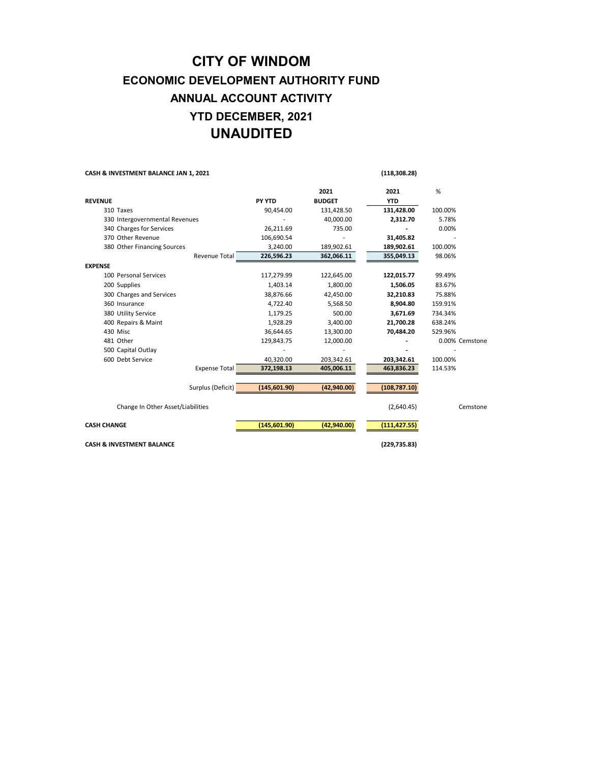#### CITY OF WINDOM ECONOMIC DEVELOPMENT AUTHORITY FUND ANNUAL ACCOUNT ACTIVITY YTD DECEMBER, 2021 UNAUDITED

| CASH & INVESTMENT BALANCE JAN 1, 2021 |                      | (118, 308.28) |               |               |                |
|---------------------------------------|----------------------|---------------|---------------|---------------|----------------|
|                                       |                      |               | 2021          | 2021          | %              |
| <b>REVENUE</b>                        |                      | PY YTD        | <b>BUDGET</b> | <b>YTD</b>    |                |
| 310 Taxes                             |                      | 90,454.00     | 131,428.50    | 131,428.00    | 100.00%        |
| 330 Intergovernmental Revenues        |                      |               | 40,000.00     | 2,312.70      | 5.78%          |
| 340 Charges for Services              |                      | 26,211.69     | 735.00        |               | 0.00%          |
| 370 Other Revenue                     |                      | 106,690.54    |               | 31,405.82     |                |
| 380 Other Financing Sources           |                      | 3,240.00      | 189,902.61    | 189,902.61    | 100.00%        |
|                                       | Revenue Total        | 226,596.23    | 362,066.11    | 355,049.13    | 98.06%         |
| <b>EXPENSE</b>                        |                      |               |               |               |                |
| 100 Personal Services                 |                      | 117,279.99    | 122,645.00    | 122,015.77    | 99.49%         |
| 200 Supplies                          |                      | 1,403.14      | 1,800.00      | 1,506.05      | 83.67%         |
| 300 Charges and Services              |                      | 38,876.66     | 42,450.00     | 32,210.83     | 75.88%         |
| 360 Insurance                         |                      | 4,722.40      | 5,568.50      | 8,904.80      | 159.91%        |
| 380 Utility Service                   |                      | 1,179.25      | 500.00        | 3,671.69      | 734.34%        |
| 400 Repairs & Maint                   |                      | 1,928.29      | 3,400.00      | 21,700.28     | 638.24%        |
| 430 Misc                              |                      | 36,644.65     | 13,300.00     | 70,484.20     | 529.96%        |
| 481 Other                             |                      | 129,843.75    | 12,000.00     |               | 0.00% Cemstone |
| 500 Capital Outlay                    |                      |               |               |               |                |
| 600 Debt Service                      |                      | 40,320.00     | 203,342.61    | 203,342.61    | 100.00%        |
|                                       | <b>Expense Total</b> | 372,198.13    | 405,006.11    | 463,836.23    | 114.53%        |
|                                       | Surplus (Deficit)    | (145,601.90)  | (42,940.00)   | (108, 787.10) |                |
| Change In Other Asset/Liabilities     |                      |               |               | (2,640.45)    | Cemstone       |
| <b>CASH CHANGE</b>                    |                      | (145, 601.90) | (42,940.00)   | (111,427.55)  |                |
| <b>CASH &amp; INVESTMENT BALANCE</b>  |                      |               |               | (229, 735.83) |                |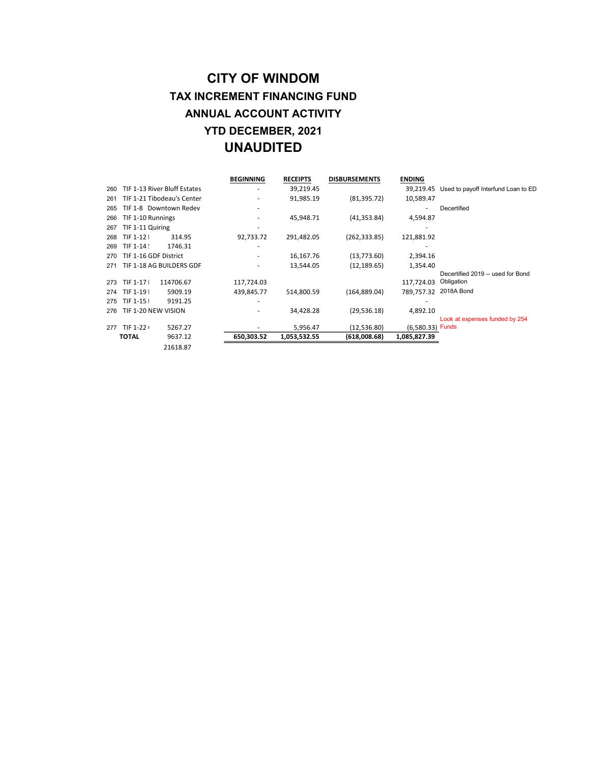#### CITY OF WINDOM TAX INCREMENT FINANCING FUND ANNUAL ACCOUNT ACTIVITY YTD DECEMBER, 2021 UNAUDITED

|     |                       |                              | <b>BEGINNING</b> | <b>RECEIPTS</b> | <b>DISBURSEMENTS</b> | <b>ENDING</b>    |                                     |
|-----|-----------------------|------------------------------|------------------|-----------------|----------------------|------------------|-------------------------------------|
| 260 |                       | TIF 1-13 River Bluff Estates |                  | 39,219.45       |                      | 39,219.45        | Used to payoff Interfund Loan to ED |
| 261 |                       | TIF 1-21 Tibodeau's Center   |                  | 91,985.19       | (81, 395.72)         | 10,589.47        |                                     |
| 265 |                       | TIF 1-8 Downtown Redev       |                  |                 |                      | ٠                | Decertified                         |
| 266 | TIF 1-10 Runnings     |                              |                  | 45.948.71       | (41, 353.84)         | 4,594.87         |                                     |
| 267 | TIF 1-11 Quiring      |                              |                  |                 |                      |                  |                                     |
| 268 | TIF 1-12 I            | 314.95                       | 92,733.72        | 291,482.05      | (262, 333.85)        | 121,881.92       |                                     |
| 269 | TIF 1-14 !            | 1746.31                      |                  |                 |                      |                  |                                     |
| 270 | TIF 1-16 GDF District |                              |                  | 16,167.76       | (13,773.60)          | 2,394.16         |                                     |
| 271 |                       | TIF 1-18 AG BUILDERS GDF     |                  | 13,544.05       | (12, 189.65)         | 1,354.40         |                                     |
|     |                       |                              |                  |                 |                      |                  | Decertified 2019 -- used for Bond   |
| 273 | TIF 1-17 I            | 114706.67                    | 117,724.03       |                 |                      | 117.724.03       | Obligation                          |
| 274 | TIF 1-19 I            | 5909.19                      | 439,845.77       | 514,800.59      | (164, 889.04)        |                  | 789,757.32 2018A Bond               |
| 275 | TIF 1-15 I            | 9191.25                      |                  |                 |                      |                  |                                     |
| 276 | TIF 1-20 NEW VISION   |                              |                  | 34,428.28       | (29, 536.18)         | 4,892.10         |                                     |
|     |                       |                              |                  |                 |                      |                  | Look at expenses funded by 254      |
| 277 | TIF 1-22              | 5267.27                      |                  | 5,956.47        | (12,536.80)          | (6.580.33) Funds |                                     |
|     | <b>TOTAL</b>          | 9637.12                      | 650,303.52       | 1,053,532.55    | (618,008.68)         | 1,085,827.39     |                                     |
|     |                       | 21618.87                     |                  |                 |                      |                  |                                     |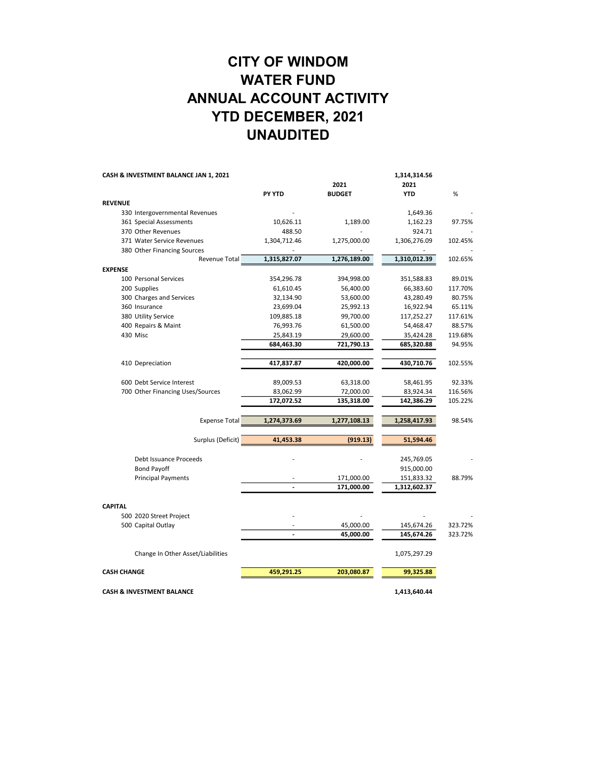### CITY OF WINDOM WATER FUND ANNUAL ACCOUNT ACTIVITY YTD DECEMBER, 2021 UNAUDITED

| CASH & INVESTMENT BALANCE JAN 1, 2021 |                                      |                | 1,314,314.56  |              |         |  |
|---------------------------------------|--------------------------------------|----------------|---------------|--------------|---------|--|
|                                       |                                      |                | 2021          | 2021         |         |  |
|                                       |                                      | PY YTD         | <b>BUDGET</b> | <b>YTD</b>   | %       |  |
| <b>REVENUE</b>                        |                                      |                |               |              |         |  |
|                                       | 330 Intergovernmental Revenues       |                |               | 1,649.36     |         |  |
|                                       | 361 Special Assessments              | 10,626.11      | 1,189.00      | 1,162.23     | 97.75%  |  |
|                                       | 370 Other Revenues                   | 488.50         |               | 924.71       |         |  |
|                                       | 371 Water Service Revenues           | 1,304,712.46   | 1,275,000.00  | 1,306,276.09 | 102.45% |  |
|                                       | 380 Other Financing Sources          |                |               |              |         |  |
|                                       | Revenue Total                        | 1,315,827.07   | 1,276,189.00  | 1,310,012.39 | 102.65% |  |
| <b>EXPENSE</b>                        |                                      |                |               |              |         |  |
|                                       | 100 Personal Services                | 354,296.78     | 394,998.00    | 351,588.83   | 89.01%  |  |
|                                       | 200 Supplies                         | 61,610.45      | 56,400.00     | 66,383.60    | 117.70% |  |
|                                       | 300 Charges and Services             | 32,134.90      | 53,600.00     | 43,280.49    | 80.75%  |  |
|                                       | 360 Insurance                        | 23,699.04      | 25,992.13     | 16,922.94    | 65.11%  |  |
|                                       | 380 Utility Service                  | 109,885.18     | 99,700.00     | 117,252.27   | 117.61% |  |
|                                       | 400 Repairs & Maint                  | 76,993.76      | 61,500.00     | 54,468.47    | 88.57%  |  |
|                                       | 430 Misc                             | 25,843.19      | 29,600.00     | 35,424.28    | 119.68% |  |
|                                       |                                      | 684,463.30     | 721,790.13    | 685,320.88   | 94.95%  |  |
|                                       | 410 Depreciation                     | 417,837.87     | 420,000.00    | 430,710.76   | 102.55% |  |
|                                       |                                      |                |               |              |         |  |
|                                       | 600 Debt Service Interest            | 89,009.53      | 63,318.00     | 58,461.95    | 92.33%  |  |
|                                       | 700 Other Financing Uses/Sources     | 83,062.99      | 72,000.00     | 83,924.34    | 116.56% |  |
|                                       |                                      | 172,072.52     | 135,318.00    | 142,386.29   | 105.22% |  |
|                                       | <b>Expense Total</b>                 | 1,274,373.69   | 1,277,108.13  | 1,258,417.93 | 98.54%  |  |
|                                       | Surplus (Deficit)                    | 41,453.38      | (919.13)      | 51,594.46    |         |  |
|                                       |                                      |                |               |              |         |  |
|                                       | Debt Issuance Proceeds               |                |               | 245,769.05   |         |  |
|                                       | <b>Bond Payoff</b>                   |                |               | 915,000.00   |         |  |
|                                       | <b>Principal Payments</b>            |                | 171,000.00    | 151,833.32   | 88.79%  |  |
|                                       |                                      | $\overline{a}$ | 171,000.00    | 1,312,602.37 |         |  |
| <b>CAPITAL</b>                        |                                      |                |               |              |         |  |
|                                       | 500 2020 Street Project              |                |               |              |         |  |
|                                       | 500 Capital Outlay                   |                | 45,000.00     | 145,674.26   | 323.72% |  |
|                                       |                                      |                | 45,000.00     | 145,674.26   | 323.72% |  |
|                                       | Change In Other Asset/Liabilities    |                |               | 1,075,297.29 |         |  |
| <b>CASH CHANGE</b>                    |                                      | 459,291.25     | 203,080.87    | 99,325.88    |         |  |
|                                       |                                      |                |               |              |         |  |
|                                       | <b>CASH &amp; INVESTMENT BALANCE</b> |                |               | 1,413,640.44 |         |  |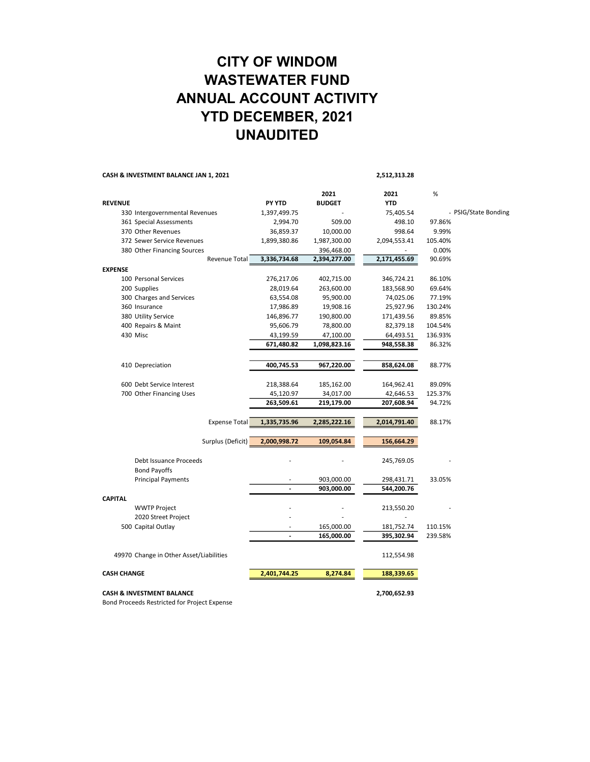#### CITY OF WINDOM WASTEWATER FUND ANNUAL ACCOUNT ACTIVITY YTD DECEMBER, 2021 UNAUDITED

CASH & INVESTMENT BALANCE JAN 1, 2021 2,512,313.28

|                                         |                      |                |               | -,,,         |         |                      |
|-----------------------------------------|----------------------|----------------|---------------|--------------|---------|----------------------|
|                                         |                      |                | 2021          | 2021         | $\%$    |                      |
| <b>REVENUE</b>                          |                      | <b>PY YTD</b>  | <b>BUDGET</b> | <b>YTD</b>   |         |                      |
| 330 Intergovernmental Revenues          |                      | 1,397,499.75   |               | 75,405.54    |         | - PSIG/State Bonding |
| 361 Special Assessments                 |                      | 2,994.70       | 509.00        | 498.10       | 97.86%  |                      |
| 370 Other Revenues                      |                      | 36,859.37      | 10,000.00     | 998.64       | 9.99%   |                      |
| 372 Sewer Service Revenues              |                      | 1,899,380.86   | 1,987,300.00  | 2,094,553.41 | 105.40% |                      |
| 380 Other Financing Sources             |                      |                | 396,468.00    |              | 0.00%   |                      |
|                                         | Revenue Total        | 3,336,734.68   | 2,394,277.00  | 2,171,455.69 | 90.69%  |                      |
| <b>EXPENSE</b>                          |                      |                |               |              |         |                      |
| 100 Personal Services                   |                      | 276,217.06     | 402,715.00    | 346,724.21   | 86.10%  |                      |
| 200 Supplies                            |                      | 28,019.64      | 263,600.00    | 183,568.90   | 69.64%  |                      |
| 300 Charges and Services                |                      | 63,554.08      | 95,900.00     | 74,025.06    | 77.19%  |                      |
| 360 Insurance                           |                      | 17,986.89      | 19,908.16     | 25,927.96    | 130.24% |                      |
| 380 Utility Service                     |                      | 146,896.77     | 190,800.00    | 171,439.56   | 89.85%  |                      |
| 400 Repairs & Maint                     |                      | 95,606.79      | 78,800.00     | 82,379.18    | 104.54% |                      |
| 430 Misc                                |                      | 43,199.59      | 47,100.00     | 64,493.51    | 136.93% |                      |
|                                         |                      | 671,480.82     | 1,098,823.16  | 948,558.38   | 86.32%  |                      |
| 410 Depreciation                        |                      | 400,745.53     | 967,220.00    | 858,624.08   | 88.77%  |                      |
|                                         |                      |                |               |              |         |                      |
| 600 Debt Service Interest               |                      | 218,388.64     | 185,162.00    | 164,962.41   | 89.09%  |                      |
| 700 Other Financing Uses                |                      | 45,120.97      | 34,017.00     | 42,646.53    | 125.37% |                      |
|                                         |                      | 263,509.61     | 219,179.00    | 207,608.94   | 94.72%  |                      |
|                                         | <b>Expense Total</b> | 1,335,735.96   | 2,285,222.16  | 2,014,791.40 | 88.17%  |                      |
|                                         |                      |                |               |              |         |                      |
|                                         | Surplus (Deficit)    | 2,000,998.72   | 109,054.84    | 156,664.29   |         |                      |
| Debt Issuance Proceeds                  |                      |                |               | 245,769.05   |         |                      |
| <b>Bond Payoffs</b>                     |                      |                |               |              |         |                      |
| <b>Principal Payments</b>               |                      |                | 903,000.00    | 298,431.71   | 33.05%  |                      |
|                                         |                      | $\overline{a}$ | 903,000.00    | 544,200.76   |         |                      |
| <b>CAPITAL</b>                          |                      |                |               |              |         |                      |
| <b>WWTP Project</b>                     |                      |                |               | 213,550.20   |         |                      |
| 2020 Street Project                     |                      |                |               |              |         |                      |
| 500 Capital Outlay                      |                      |                | 165,000.00    | 181,752.74   | 110.15% |                      |
|                                         |                      |                | 165,000.00    | 395,302.94   | 239.58% |                      |
| 49970 Change in Other Asset/Liabilities |                      |                |               | 112,554.98   |         |                      |
| <b>CASH CHANGE</b>                      |                      | 2,401,744.25   | 8,274.84      | 188,339.65   |         |                      |
| <b>CASH &amp; INVESTMENT BALANCE</b>    |                      |                |               | 2,700,652.93 |         |                      |

Bond Proceeds Restricted for Project Expense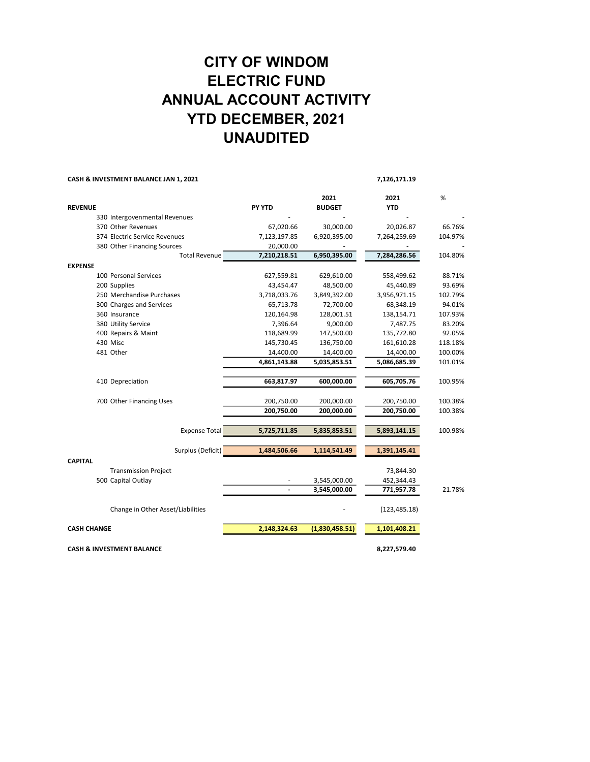### CITY OF WINDOM ELECTRIC FUND ANNUAL ACCOUNT ACTIVITY YTD DECEMBER, 2021 UNAUDITED

|                    | CASH & INVESTMENT BALANCE JAN 1, 2021 |               |                       | 7,126,171.19       |         |
|--------------------|---------------------------------------|---------------|-----------------------|--------------------|---------|
| <b>REVENUE</b>     |                                       | <b>PY YTD</b> | 2021<br><b>BUDGET</b> | 2021<br><b>YTD</b> | %       |
|                    | 330 Intergovenmental Revenues         |               |                       |                    |         |
|                    | 370 Other Revenues                    | 67,020.66     | 30,000.00             | 20,026.87          | 66.76%  |
|                    | 374 Electric Service Revenues         | 7,123,197.85  | 6,920,395.00          | 7,264,259.69       | 104.97% |
|                    | 380 Other Financing Sources           | 20,000.00     |                       |                    |         |
|                    | <b>Total Revenue</b>                  | 7,210,218.51  | 6,950,395.00          | 7,284,286.56       | 104.80% |
| <b>EXPENSE</b>     |                                       |               |                       |                    |         |
|                    | 100 Personal Services                 | 627,559.81    | 629,610.00            | 558,499.62         | 88.71%  |
|                    | 200 Supplies                          | 43,454.47     | 48,500.00             | 45,440.89          | 93.69%  |
|                    | 250 Merchandise Purchases             | 3,718,033.76  | 3,849,392.00          | 3,956,971.15       | 102.79% |
|                    | 300 Charges and Services              | 65,713.78     | 72,700.00             | 68,348.19          | 94.01%  |
|                    | 360 Insurance                         | 120,164.98    | 128,001.51            | 138,154.71         | 107.93% |
|                    | 380 Utility Service                   | 7,396.64      | 9,000.00              | 7,487.75           | 83.20%  |
|                    | 400 Repairs & Maint                   | 118,689.99    | 147,500.00            | 135,772.80         | 92.05%  |
|                    | 430 Misc                              | 145,730.45    | 136,750.00            | 161,610.28         | 118.18% |
|                    | 481 Other                             | 14,400.00     | 14,400.00             | 14,400.00          | 100.00% |
|                    |                                       | 4,861,143.88  | 5,035,853.51          | 5,086,685.39       | 101.01% |
|                    | 410 Depreciation                      | 663,817.97    | 600,000.00            | 605,705.76         | 100.95% |
|                    | 700 Other Financing Uses              | 200,750.00    | 200,000.00            | 200,750.00         | 100.38% |
|                    |                                       | 200,750.00    | 200,000.00            | 200,750.00         | 100.38% |
|                    | <b>Expense Total</b>                  | 5,725,711.85  | 5,835,853.51          | 5,893,141.15       | 100.98% |
|                    | Surplus (Deficit)                     | 1,484,506.66  | 1,114,541.49          | 1,391,145.41       |         |
| <b>CAPITAL</b>     | <b>Transmission Project</b>           |               |                       | 73,844.30          |         |
|                    | 500 Capital Outlay                    |               | 3,545,000.00          | 452,344.43         |         |
|                    |                                       |               | 3,545,000.00          | 771,957.78         | 21.78%  |
|                    | Change in Other Asset/Liabilities     |               |                       | (123, 485.18)      |         |
| <b>CASH CHANGE</b> |                                       | 2,148,324.63  | (1,830,458.51)        | 1,101,408.21       |         |
|                    | <b>CASH &amp; INVESTMENT BALANCE</b>  |               |                       | 8,227,579.40       |         |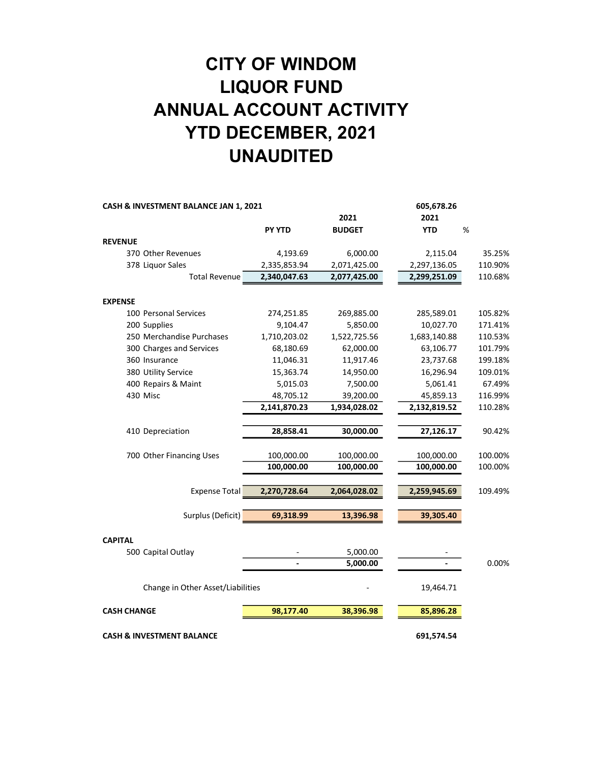# CITY OF WINDOM LIQUOR FUND ANNUAL ACCOUNT ACTIVITY YTD DECEMBER, 2021 UNAUDITED

| CASH & INVESTMENT BALANCE JAN 1, 2021 |               |               | 605,678.26   |         |
|---------------------------------------|---------------|---------------|--------------|---------|
|                                       |               | 2021          | 2021         |         |
|                                       | <b>PY YTD</b> | <b>BUDGET</b> | <b>YTD</b>   | %       |
| <b>REVENUE</b>                        |               |               |              |         |
| 370 Other Revenues                    | 4,193.69      | 6,000.00      | 2,115.04     | 35.25%  |
| 378 Liquor Sales                      | 2,335,853.94  | 2,071,425.00  | 2,297,136.05 | 110.90% |
| <b>Total Revenue</b>                  | 2,340,047.63  | 2,077,425.00  | 2,299,251.09 | 110.68% |
|                                       |               |               |              |         |
| <b>EXPENSE</b>                        |               |               |              |         |
| 100 Personal Services                 | 274,251.85    | 269,885.00    | 285,589.01   | 105.82% |
| 200 Supplies                          | 9,104.47      | 5,850.00      | 10,027.70    | 171.41% |
| 250 Merchandise Purchases             | 1,710,203.02  | 1,522,725.56  | 1,683,140.88 | 110.53% |
| 300 Charges and Services              | 68,180.69     | 62,000.00     | 63,106.77    | 101.79% |
| 360 Insurance                         | 11,046.31     | 11,917.46     | 23,737.68    | 199.18% |
| 380 Utility Service                   | 15,363.74     | 14,950.00     | 16,296.94    | 109.01% |
| 400 Repairs & Maint                   | 5,015.03      | 7,500.00      | 5,061.41     | 67.49%  |
| 430 Misc                              | 48,705.12     | 39,200.00     | 45,859.13    | 116.99% |
|                                       | 2,141,870.23  | 1,934,028.02  | 2,132,819.52 | 110.28% |
| 410 Depreciation                      | 28,858.41     | 30,000.00     | 27,126.17    | 90.42%  |
| 700 Other Financing Uses              | 100,000.00    | 100,000.00    | 100,000.00   | 100.00% |
|                                       | 100,000.00    | 100,000.00    | 100,000.00   | 100.00% |
| <b>Expense Total</b>                  | 2,270,728.64  | 2,064,028.02  | 2,259,945.69 | 109.49% |
|                                       |               |               |              |         |
| Surplus (Deficit)                     | 69,318.99     | 13,396.98     | 39,305.40    |         |
| <b>CAPITAL</b>                        |               |               |              |         |
| 500 Capital Outlay                    |               | 5,000.00      |              |         |
|                                       |               | 5,000.00      |              | 0.00%   |
| Change in Other Asset/Liabilities     |               |               | 19,464.71    |         |
| <b>CASH CHANGE</b>                    | 98,177.40     | 38,396.98     | 85,896.28    |         |
| <b>CASH &amp; INVESTMENT BALANCE</b>  |               |               | 691,574.54   |         |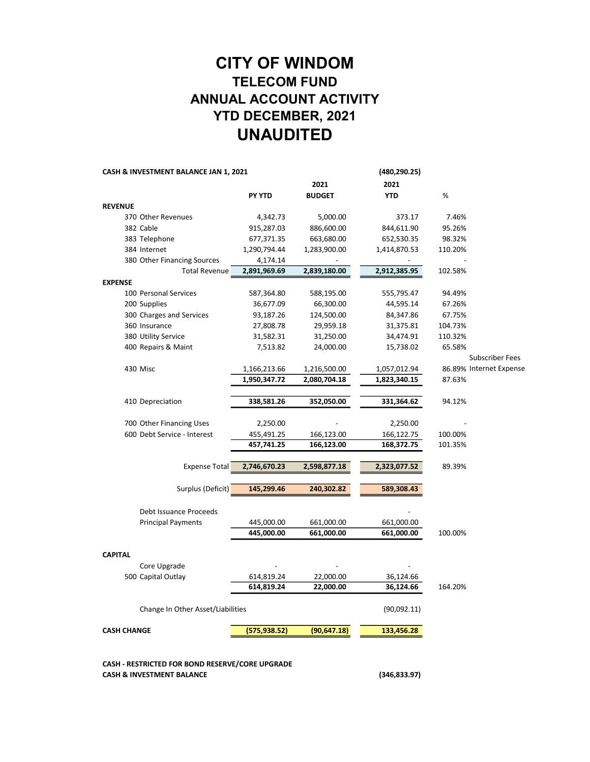#### CITY OF WINDOM TELECOM FUND ANNUAL ACCOUNT ACTIVITY YTD DECEMBER, 2021 UNAUDITED

| CASH & INVESTMENT BALANCE JAN 1, 2021 |               | (480,290.25)  |              |         |                         |
|---------------------------------------|---------------|---------------|--------------|---------|-------------------------|
|                                       |               | 2021          | 2021         |         |                         |
|                                       | <b>PY YTD</b> | <b>BUDGET</b> | <b>YTD</b>   | %       |                         |
| <b>REVENUE</b>                        |               |               |              |         |                         |
| 370 Other Revenues                    | 4,342.73      | 5,000.00      | 373.17       | 7.46%   |                         |
| 382 Cable                             | 915,287.03    | 886,600.00    | 844,611.90   | 95.26%  |                         |
| 383 Telephone                         | 677,371.35    | 663,680.00    | 652,530.35   | 98.32%  |                         |
| 384 Internet                          | 1,290,794.44  | 1,283,900.00  | 1,414,870.53 | 110.20% |                         |
| 380 Other Financing Sources           | 4,174.14      |               |              |         |                         |
| <b>Total Revenue</b>                  | 2,891,969.69  | 2,839,180.00  | 2,912,385.95 | 102.58% |                         |
| <b>EXPENSE</b>                        |               |               |              |         |                         |
| 100 Personal Services                 | 587,364.80    | 588,195.00    | 555,795.47   | 94.49%  |                         |
| 200 Supplies                          | 36,677.09     | 66,300.00     | 44,595.14    | 67.26%  |                         |
| 300 Charges and Services              | 93,187.26     | 124,500.00    | 84,347.86    | 67.75%  |                         |
| 360 Insurance                         | 27,808.78     | 29,959.18     | 31,375.81    | 104.73% |                         |
| 380 Utility Service                   | 31,582.31     | 31,250.00     | 34,474.91    | 110.32% |                         |
| 400 Repairs & Maint                   | 7,513.82      | 24,000.00     | 15,738.02    | 65.58%  |                         |
|                                       |               |               |              |         | <b>Subscriber Fees</b>  |
| 430 Misc                              | 1,166,213.66  | 1,216,500.00  | 1,057,012.94 |         | 86.89% Internet Expense |
|                                       | 1,950,347.72  | 2,080,704.18  | 1,823,340.15 | 87.63%  |                         |
|                                       |               |               |              |         |                         |
| 410 Depreciation                      | 338,581.26    | 352,050.00    | 331,364.62   | 94.12%  |                         |
|                                       |               |               |              |         |                         |
| 700 Other Financing Uses              | 2,250.00      |               | 2,250.00     |         |                         |
| 600 Debt Service - Interest           | 455,491.25    | 166,123.00    | 166,122.75   | 100.00% |                         |
|                                       | 457,741.25    | 166,123.00    | 168,372.75   | 101.35% |                         |
|                                       |               |               |              |         |                         |
| <b>Expense Total</b>                  | 2,746,670.23  | 2,598,877.18  | 2,323,077.52 | 89.39%  |                         |
| Surplus (Deficit)                     | 145,299.46    | 240,302.82    | 589,308.43   |         |                         |
| Debt Issuance Proceeds                |               |               |              |         |                         |
| <b>Principal Payments</b>             | 445,000.00    | 661,000.00    | 661,000.00   |         |                         |
|                                       | 445,000.00    | 661,000.00    | 661,000.00   | 100.00% |                         |
|                                       |               |               |              |         |                         |
| <b>CAPITAL</b>                        |               |               |              |         |                         |
| Core Upgrade                          |               |               |              |         |                         |
| 500 Capital Outlay                    | 614,819.24    | 22,000.00     | 36,124.66    |         |                         |
|                                       | 614,819.24    | 22,000.00     | 36,124.66    | 164.20% |                         |
|                                       |               |               |              |         |                         |
| Change In Other Asset/Liabilities     |               |               | (90,092.11)  |         |                         |
| <b>CASH CHANGE</b>                    | (575, 938.52) | (90, 647.18)  | 133,456.28   |         |                         |
|                                       |               |               |              |         |                         |
|                                       |               |               |              |         |                         |
|                                       |               |               |              |         |                         |

CASH - RESTRICTED FOR BOND RESERVE/CORE UPGRADE CASH & INVESTMENT BALANCE (346,833.97)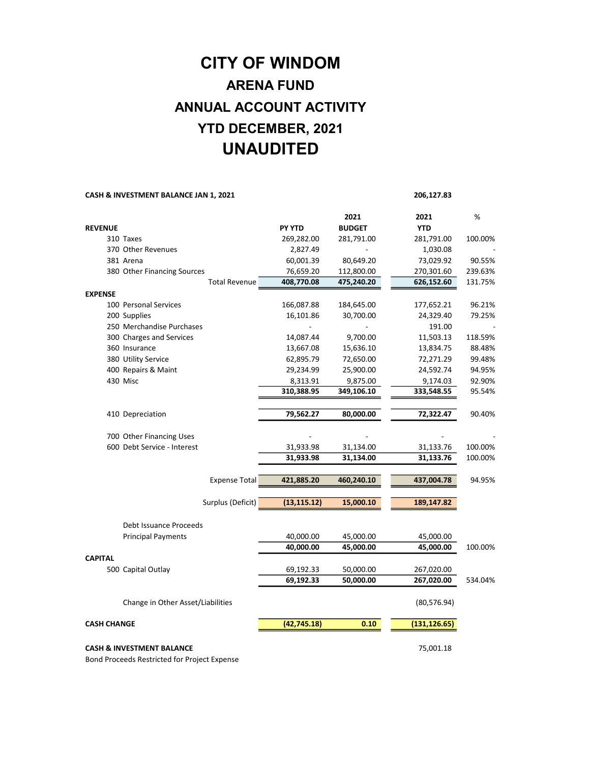### CITY OF WINDOM ARENA FUND ANNUAL ACCOUNT ACTIVITY YTD DECEMBER, 2021 UNAUDITED

#### CASH & INVESTMENT BALANCE JAN 1, 2021 206,127.83

|                    |                                      |                                    | 2021          | 2021                  | %       |
|--------------------|--------------------------------------|------------------------------------|---------------|-----------------------|---------|
| <b>REVENUE</b>     |                                      | <b>PY YTD</b>                      | <b>BUDGET</b> | <b>YTD</b>            |         |
|                    | 310 Taxes                            | 269,282.00                         | 281,791.00    | 281,791.00            | 100.00% |
|                    | 370 Other Revenues                   | 2,827.49                           |               | 1,030.08              |         |
|                    | 381 Arena                            | 60,001.39                          | 80,649.20     | 73,029.92             | 90.55%  |
|                    | 380 Other Financing Sources          | 76,659.20                          | 112,800.00    | 270,301.60            | 239.63% |
|                    |                                      | <b>Total Revenue</b><br>408,770.08 | 475,240.20    | 626,152.60            | 131.75% |
| <b>EXPENSE</b>     |                                      |                                    |               |                       |         |
|                    | 100 Personal Services                | 166,087.88                         | 184,645.00    | 177,652.21            | 96.21%  |
|                    | 200 Supplies                         | 16,101.86                          | 30,700.00     | 24,329.40             | 79.25%  |
|                    | 250 Merchandise Purchases            |                                    |               | 191.00                |         |
|                    | 300 Charges and Services             | 14,087.44                          | 9,700.00      | 11,503.13             | 118.59% |
|                    | 360 Insurance                        | 13,667.08                          | 15,636.10     | 13,834.75             | 88.48%  |
|                    | 380 Utility Service                  | 62,895.79                          | 72,650.00     | 72,271.29             | 99.48%  |
|                    | 400 Repairs & Maint                  | 29,234.99                          | 25,900.00     | 24,592.74             | 94.95%  |
|                    | 430 Misc                             | 8,313.91                           | 9,875.00      | 9,174.03              | 92.90%  |
|                    |                                      | 310,388.95                         | 349,106.10    | 333,548.55            | 95.54%  |
|                    |                                      |                                    |               |                       |         |
|                    | 410 Depreciation                     | 79,562.27                          | 80,000.00     | 72,322.47             | 90.40%  |
|                    |                                      |                                    |               |                       |         |
|                    | 700 Other Financing Uses             |                                    |               |                       |         |
|                    | 600 Debt Service - Interest          | 31,933.98                          | 31,134.00     | 31,133.76             | 100.00% |
|                    |                                      | 31,933.98                          | 31,134.00     | 31,133.76             | 100.00% |
|                    |                                      |                                    |               |                       |         |
|                    |                                      | <b>Expense Total</b><br>421,885.20 | 460,240.10    | 437,004.78            | 94.95%  |
|                    | Surplus (Deficit)                    | (13, 115.12)                       |               |                       |         |
|                    |                                      |                                    | 15,000.10     | 189,147.82            |         |
|                    | Debt Issuance Proceeds               |                                    |               |                       |         |
|                    | <b>Principal Payments</b>            | 40,000.00                          | 45,000.00     | 45,000.00             |         |
|                    |                                      | 40,000.00                          | 45,000.00     | 45,000.00             | 100.00% |
| <b>CAPITAL</b>     |                                      |                                    |               |                       |         |
|                    | 500 Capital Outlay                   | 69,192.33                          | 50,000.00     | 267,020.00            |         |
|                    |                                      | 69,192.33                          | 50,000.00     | 267,020.00            | 534.04% |
|                    |                                      |                                    |               |                       |         |
|                    | Change in Other Asset/Liabilities    |                                    |               | (80, 576.94)          |         |
|                    |                                      |                                    |               |                       |         |
| <b>CASH CHANGE</b> |                                      | (42, 745.18)                       |               | 0.10<br>(131, 126.65) |         |
|                    |                                      |                                    |               |                       |         |
|                    | <b>CASH &amp; INVESTMENT BALANCE</b> | 75,001.18                          |               |                       |         |

Bond Proceeds Restricted for Project Expense